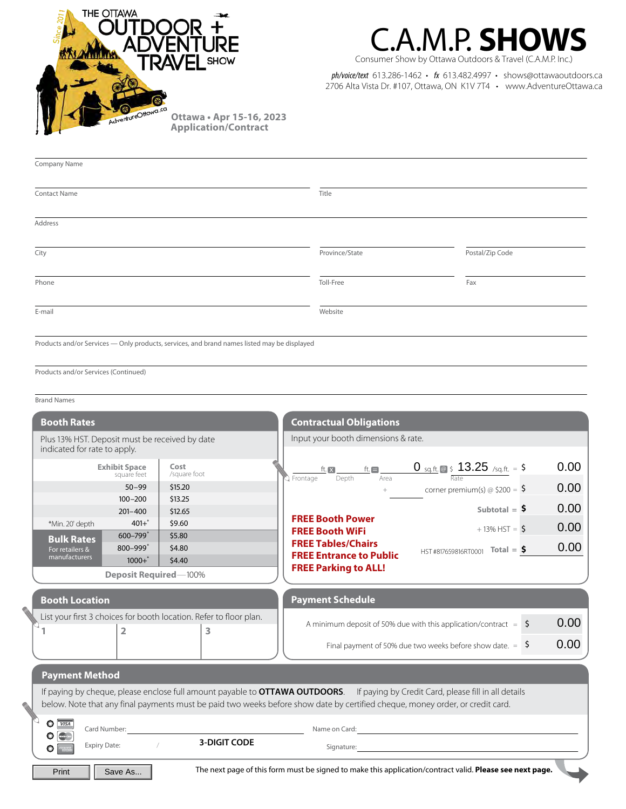



Consumer Show by Ottawa Outdoors & Travel (C.A.M.P. Inc.)

*ph*/voice/text 613.286-1462 • *fx* 613.482.4997 • shows@ottawaoutdoors.ca 2706 Alta Vista Dr. #107, Ottawa, ON K1V 7T4 • www.AdventureOttawa.ca

**Ottawa • Apr 15-16, 2023 Application/Contract**

| Title          |                 |  |
|----------------|-----------------|--|
|                |                 |  |
| Province/State | Postal/Zip Code |  |
| Toll-Free      | Fax             |  |
| Website        |                 |  |
|                |                 |  |

Products and/or Services (Continued)

Brand Names

Company Name

|  | <b>Booth Rates</b>                                                                                                                                                                                                                                                        |                                                                                                          |                      | <b>Contractual Obligations</b>                                                                   |      |
|--|---------------------------------------------------------------------------------------------------------------------------------------------------------------------------------------------------------------------------------------------------------------------------|----------------------------------------------------------------------------------------------------------|----------------------|--------------------------------------------------------------------------------------------------|------|
|  | Plus 13% HST. Deposit must be received by date<br>indicated for rate to apply.                                                                                                                                                                                            |                                                                                                          |                      | Input your booth dimensions & rate.                                                              |      |
|  |                                                                                                                                                                                                                                                                           | <b>Exhibit Space</b><br>square feet                                                                      | Cost<br>/square foot | Frontage                                                                                         | 0.00 |
|  |                                                                                                                                                                                                                                                                           | $50 - 99$                                                                                                | \$15.20              | corner premium(s) $\omega$ \$200 = \$                                                            | 0.00 |
|  |                                                                                                                                                                                                                                                                           | $100 - 200$<br>$201 - 400$                                                                               | \$13.25<br>\$12.65   | Subtotal = $\frac{1}{5}$                                                                         | 0.00 |
|  | *Min. 20' depth                                                                                                                                                                                                                                                           | $401 +$ *                                                                                                | \$9.60               | <b>FREE Booth Power</b>                                                                          | 0.00 |
|  | <b>Bulk Rates</b>                                                                                                                                                                                                                                                         | $600 - 799$ <sup>*</sup>                                                                                 | \$5.80               | $+13\%$ HST = $\textsf{S}$<br><b>FREE Booth WiFi</b>                                             |      |
|  | For retailers &<br>manufacturers                                                                                                                                                                                                                                          | $800 - 999^*$                                                                                            | \$4.80               | <b>FREE Tables/Chairs</b><br>$HST #817659816RT0001$ Total = \$<br><b>FREE Entrance to Public</b> | 0.00 |
|  |                                                                                                                                                                                                                                                                           | $1000 +$                                                                                                 | \$4.40               | <b>FREE Parking to ALL!</b>                                                                      |      |
|  |                                                                                                                                                                                                                                                                           | <b>Deposit Required</b> -100%                                                                            |                      |                                                                                                  |      |
|  | <b>Booth Location</b>                                                                                                                                                                                                                                                     |                                                                                                          |                      | <b>Payment Schedule</b>                                                                          |      |
|  | List your first 3 choices for booth location. Refer to floor plan.<br>$\overline{2}$<br>3                                                                                                                                                                                 |                                                                                                          |                      | A minimum deposit of 50% due with this application/contract $=$ \$                               | 0.00 |
|  |                                                                                                                                                                                                                                                                           |                                                                                                          |                      | Final payment of 50% due two weeks before show date. $=$ \$                                      | 0.00 |
|  | <b>Payment Method</b>                                                                                                                                                                                                                                                     |                                                                                                          |                      |                                                                                                  |      |
|  | If paying by cheque, please enclose full amount payable to <b>OTTAWA OUTDOORS</b> . If paying by Credit Card, please fill in all details<br>below. Note that any final payments must be paid two weeks before show date by certified cheque, money order, or credit card. |                                                                                                          |                      |                                                                                                  |      |
|  | $O$ $VISA$<br>Card Number: New York 1988 and 2008 and 2008 and 2008 and 2008 and 2008 and 2008 and 2008 and 2008 and 2008 and 2008 and 2008 and 2008 and 2008 and 2008 and 2008 and 2008 and 2008 and 2008 and 2008 and 2008 and 2008 and 20                              |                                                                                                          |                      |                                                                                                  |      |
|  | O                                                                                                                                                                                                                                                                         | $\sqrt{2}$<br><b>Expiry Date:</b>                                                                        | <b>3-DIGIT CODE</b>  |                                                                                                  |      |
|  | Print<br>Save As                                                                                                                                                                                                                                                          | The next page of this form must be signed to make this application/contract valid. Please see next page. |                      |                                                                                                  |      |